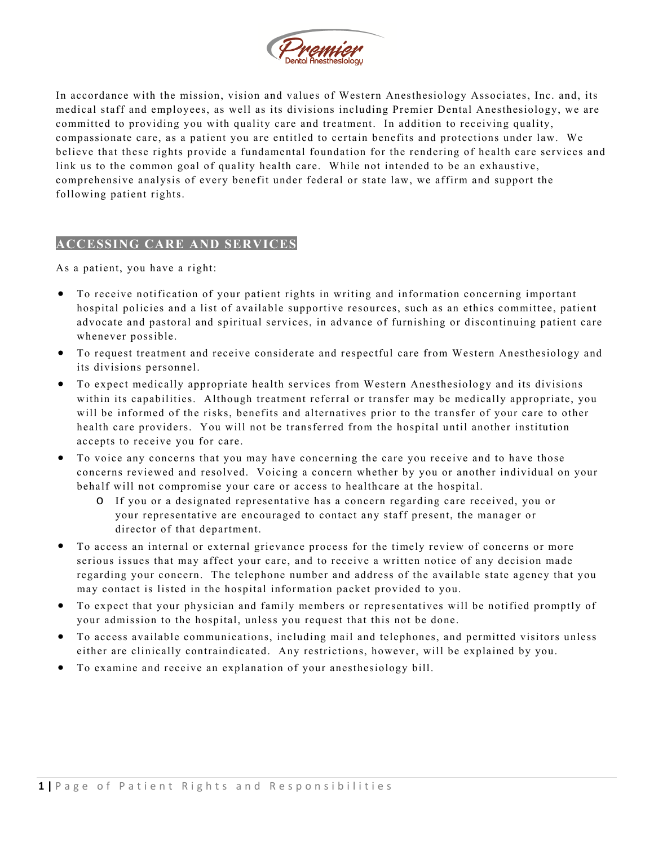

In accordance with the mission, vision and values of Western Anesthesiology Associates, Inc. and, its medical staff and employees, as well as its divisions including Premier Dental Anesthesiology, we are committed to providing you with quality care and treatment. In addition to receiving quality, compassionate care, as a patient you are entitled to certain benefits and protections under law. We believe that these rights provide a fundamental foundation for the rendering of health care services and link us to the common goal of quality health care. While not intended to be an exhaustive, comprehensive analysis of every benefit under federal or state law, we affirm and support the following patient rights.

## **ACCESSING CARE AND SERVICES**

As a patient, you have a right:

- To receive notification of your patient rights in writing and information concerning important hospital policies and a list of available supportive resources, such as an ethics committee, patient advocate and pastoral and spiritual services, in advance of furnishing or discontinuing patient care whenever possible.
- To request treatment and receive considerate and respectful care from Western Anesthesiology and its divisions personnel.
- To expect medically appropriate health services from Western Anesthesiology and its divisions within its capabilities. Although treatment referral or transfer may be medically appropriate, you will be informed of the risks, benefits and alternatives prior to the transfer of your care to other health care providers. You will not be transferred from the hospital until another institution accepts to receive you for care.
- To voice any concerns that you may have concerning the care you receive and to have those concerns reviewed and resolved. Voicing a concern whether by you or another individual on your behalf will not compromise your care or access to healthcare at the hospital.
	- o If you or a designated representative has a concern regarding care received, you or your representative are encouraged to contact any staff present, the manager or director of that department.
- To access an internal or external grievance process for the timely review of concerns or more serious issues that may affect your care, and to receive a written notice of any decision made regarding your concern. The telephone number and address of the available state agency that you may contact is listed in the hospital information packet provided to you.
- To expect that your physician and family members or representatives will be notified promptly of your admission to the hospital, unless you request that this not be done.
- To access available communications, including mail and telephones, and permitted visitors unless either are clinically contraindicated. Any restrictions, however, will be explained by you.
- To examine and receive an explanation of your anesthesiology bill.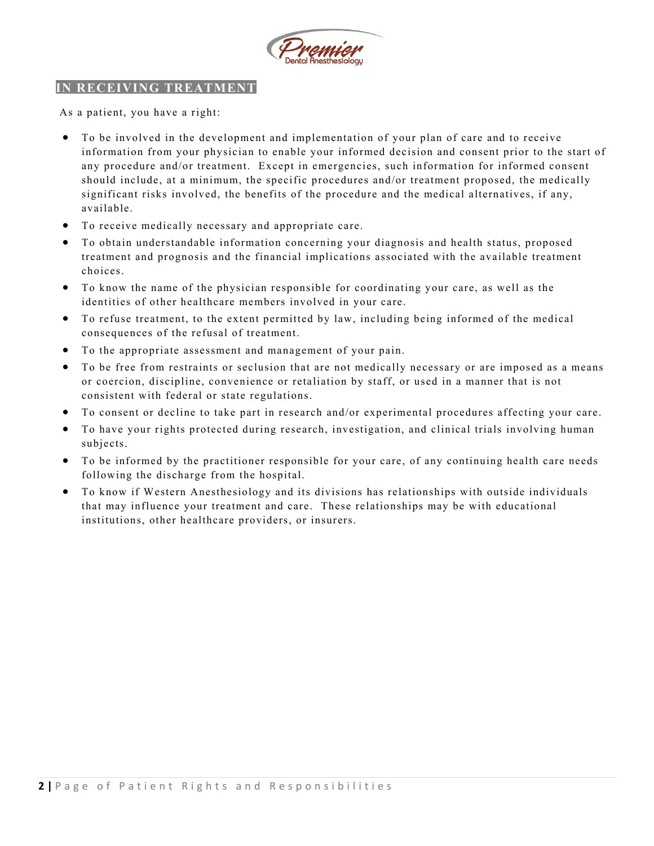

## **IN RECEIVING TREATMENT**

As a patient, you have a right:

- To be involved in the development and implementation of your plan of care and to receive information from your physician to enable your informed decision and consent prior to the start of any procedure and/or treatment. Except in emergencies, such information for informed consent should include, at a minimum, the specific procedures and/or treatment proposed, the medically significant risks involved, the benefits of the procedure and the medical alternatives, if any, available.
- To receive medically necessary and appropriate care.
- To obtain understandable information concerning your diagnosis and health status, proposed treatment and prognosis and the financial implications associated with the available treatment choices.
- To know the name of the physician responsible for coordinating your care, as well as the identities of other healthcare members involved in your care.
- To refuse treatment, to the extent permitted by law, including being informed of the medical consequences of the refusal of treatment.
- To the appropriate assessment and management of your pain.
- To be free from restraints or seclusion that are not medically necessary or are imposed as a means or coercion, discipline, convenience or retaliation by staff, or used in a manner that is not consistent with federal or state regulations.
- To consent or decline to take part in research and/or experimental procedures affecting your care.
- To have your rights protected during research, investigation, and clinical trials involving human subjects.
- To be informed by the practitioner responsible for your care, of any continuing health care needs following the discharge from the hospital.
- To know if Western Anesthesiology and its divisions has relationships with outside individuals that may influence your treatment and care. These relationships may be with educational institutions, other healthcare providers, or insurers.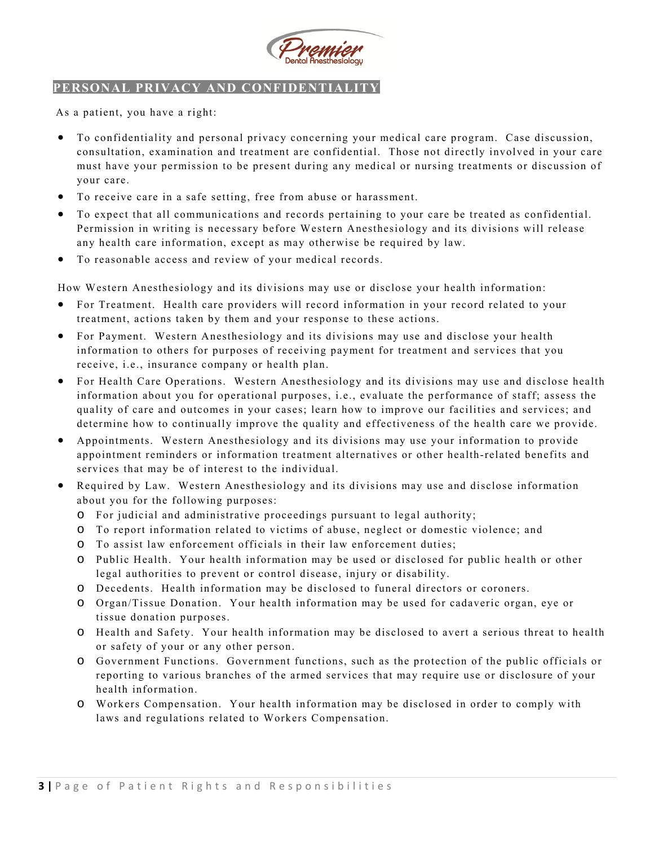

## **PERSONAL PRIVACY AND CONFIDENTIALITY**

As a patient, you have a right:

- To confidentiality and personal privacy concerning your medical care program. Case discussion, consultation, examination and treatment are confidential. Those not directly involved in your care must have your permission to be present during any medical or nursing treatments or discussion of your care.
- To receive care in a safe setting, free from abuse or harassment.
- To expect that all communications and records pertaining to your care be treated as confidential. Permission in writing is necessary before Western Anesthesiology and its divisions will release any health care information, except as may otherwise be required by law.
- To reasonable access and review of your medical records.

How Western Anesthesiology and its divisions may use or disclose your health information:

- For Treatment. Health care providers will record information in your record related to your treatment, actions taken by them and your response to these actions.
- For Payment. Western Anesthesiology and its divisions may use and disclose your health information to others for purposes of receiving payment for treatment and services that you receive, i.e., insurance company or health plan.
- For Health Care Operations. Western Anesthesiology and its divisions may use and disclose health information about you for operational purposes, i.e., evaluate the performance of staff; assess the quality of care and outcomes in your cases; learn how to improve our facilities and services; and determine how to continually improve the quality and effectiveness of the health care we provide.
- Appointments. Western Anesthesiology and its divisions may use your information to provide appointment reminders or information treatment alternatives or other health-related benefits and services that may be of interest to the individual.
- Required by Law. Western Anesthesiology and its divisions may use and disclose information about you for the following purposes:
	- o For judicial and administrative proceedings pursuant to legal authority;
	- o To report information related to victims of abuse, neglect or domestic violence; and
	- o To assist law enforcement officials in their law enforcement duties;
	- o Public Health. Your health information may be used or disclosed for public health or other legal authorities to prevent or control disease, injury or disability.
	- o Decedents. Health information may be disclosed to funeral directors or coroners.
	- o Organ/Tissue Donation. Your health information may be used for cadaveric organ, eye or tissue donation purposes.
	- o Health and Safety. Your health information may be disclosed to avert a serious threat to health or safety of your or any other person.
	- o Government Functions. Government functions, such as the protection of the public officials or reporting to various branches of the armed services that may require use or disclosure of your health information.
	- o Workers Compensation. Your health information may be disclosed in order to comply with laws and regulations related to Workers Compensation.